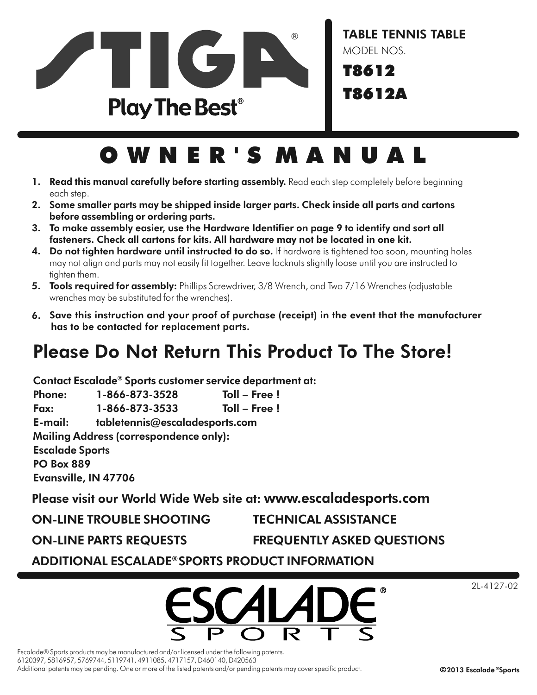

# O W N E R ' S M A N U A L

- 1. Read this manual carefully before starting assembly. Read each step completely before beginning each step.
- 2. Some smaller parts may be shipped inside larger parts. Check inside all parts and cartons before assembling or ordering parts.
- 3. To make assembly easier, use the Hardware Identifier on page 9 to identify and sort all fasteners. Check all cartons for kits. All hardware may not be located in one kit.
- 4. Do not tighten hardware until instructed to do so. If hardware is tightened too soon, mounting holes may not align and parts may not easily fit together. Leave locknuts slightly loose until you are instructed to tighten them.
- 5. Tools required for assembly: Phillips Screwdriver, 3/8 Wrench, and Two 7/16 Wrenches (adjustable wrenches may be substituted for the wrenches).
- 6. Save this instruction and your proof of purchase (receipt) in the event that the manufacturer has to be contacted for replacement parts.

## Please Do Not Return This Product To The Store!

Contact Escalade® Sports customer service department at:

Phone: 1-866-873-3528 Toll – Free ! Fax: 1-866-873-3533 Toll – Free ! E-mail: tabletennis@escaladesports.com Mailing Address (correspondence only): Escalade Sports PO Box 889 Evansville, IN 47706

Please visit our World Wide Web site at: www.escaladesports.com

| <b>ON-LINE TROUBLE SHOOTING</b> |
|---------------------------------|
|---------------------------------|

**TECHNICAL ASSISTANCE** 

ON-LINE PARTS REQUESTS FREQUENTLY ASKED QUESTIONS

ADDITIONAL ESCALADE®SPORTS PRODUCT INFORMATION



2L-4127-02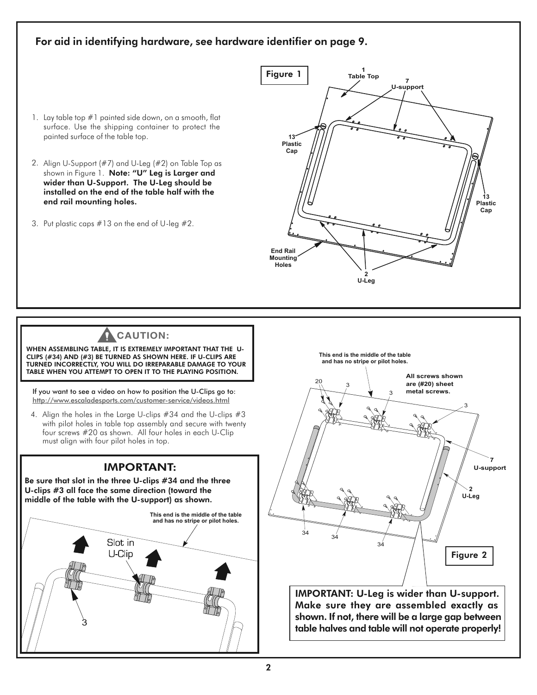#### For aid in identifying hardware, see hardware identifier on page 9.

- 1. Lay table top #1 painted side down, on a smooth, flat surface. Use the shipping container to protect the painted surface of the table top.
- 2. Align U-Support (#7) and U-Leg (#2) on Table Top as shown in Figure 1. Note: "U" Leg is Larger and wider than U-Support. The U-Leg should be installed on the end of the table half with the end rail mounting holes.
- 3. Put plastic caps #13 on the end of U-leg #2.



## **CAUTION:**

WHEN ASSEMBLING TABLE, IT IS EXTREMELY IMPORTANT THAT THE U-CLIPS (#34) AND (#3) BE TURNED AS SHOWN HERE. IF U-CLIPS ARE TURNED INCORRECTLY, YOU WILL DO IRREPARABLE DAMAGE TO YOUR TABLE WHEN YOU ATTEMPT TO OPEN IT TO THE PLAYING POSITION.

If you want to see a video on how to position the U-Clips go to: http://www.escaladesports.com/customer-service/videos.html

4. Align the holes in the Large U-clips #34 and the U-clips #3 with pilot holes in table top assembly and secure with twenty four screws #20 as shown. All four holes in each U-Clip must align with four pilot holes in top.

#### IMPORTANT:

Be sure that slot in the three U-clips #34 and the three U-clips #3 all face the same direction (toward the middle of the table with the U-support) as shown.





Make sure they are assembled exactly as shown. If not, there will be a large gap between table halves and table will not operate properly!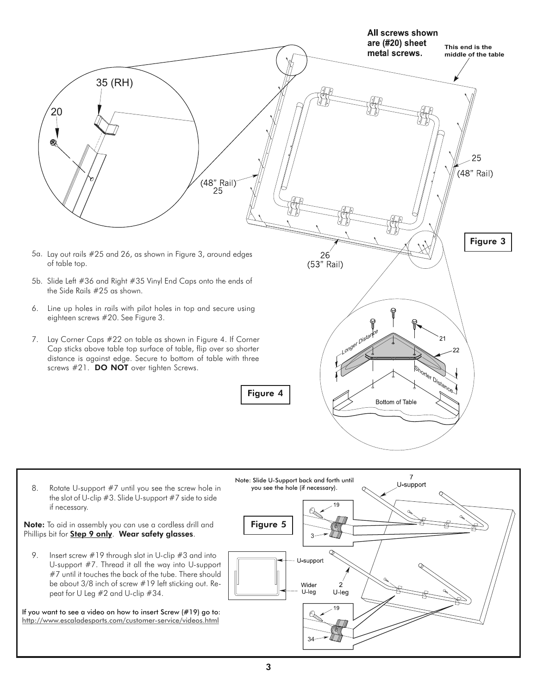

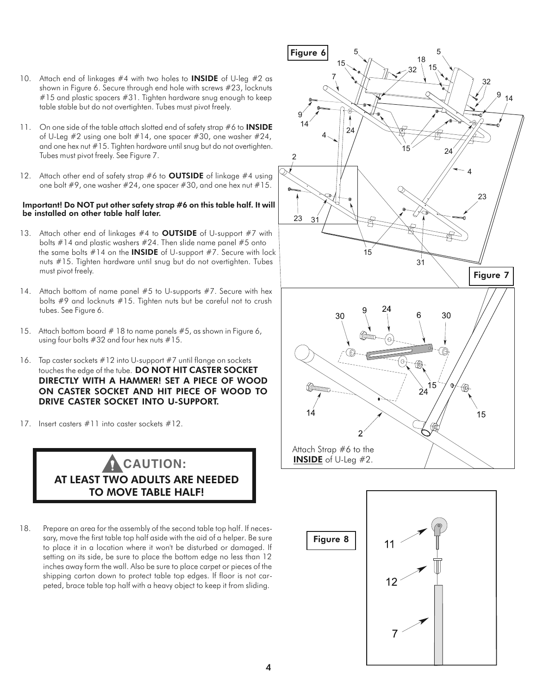- 10. Attach end of linkages  $#4$  with two holes to **INSIDE** of U-leg  $#2$  as shown in Figure 6. Secure through end hole with screws #23, locknuts #15 and plastic spacers #31. Tighten hardware snug enough to keep table stable but do not overtighten. Tubes must pivot freely.
- 11. On one side of the table attach slotted end of safety strap #6 to **INSIDE** of U-Leg #2 using one bolt #14, one spacer #30, one washer #24, and one hex nut #15. Tighten hardware until snug but do not overtighten. Tubes must pivot freely. See Figure 7.
- 12. Attach other end of safety strap  $#6$  to **OUTSIDE** of linkage  $#4$  using one bolt #9, one washer #24, one spacer #30, and one hex nut #15.

#### Important! Do NOT put other safety strap #6 on this table half. It will be installed on other table half later.

- 13. Attach other end of linkages  $#4$  to **OUTSIDE** of U-support  $#7$  with bolts  $#14$  and plastic washers  $#24$ . Then slide name panel  $#5$  onto the same bolts  $#14$  on the **INSIDE** of U-support  $#7$ . Secure with lock nuts #15. Tighten hardware until snug but do not overtighten. Tubes must pivot freely.
- 14. Attach bottom of name panel #5 to U-supports #7. Secure with hex bolts #9 and locknuts #15. Tighten nuts but be careful not to crush tubes. See Figure 6.
- 15. Attach bottom board # 18 to name panels #5, as shown in Figure 6, using four bolts #32 and four hex nuts #15.
- 16. Tap caster sockets #12 into U-support #7 until flange on socketstouches the edge of the tube. DO NOT HIT CASTER SOCKET DIRECTLY WITH A HAMMER! SET A PIECE OF WOOD ON CASTER SOCKET AND HIT PIECE OF WOOD TO DRIVE CASTER SOCKET INTO U-SUPPORT.
- 17. Insert casters #11 into caster sockets #12.

### AT LEAST TWO ADULTS ARE NEEDED TO MOVE TABLE HALF! **CAUTION:**

18. Prepare an area for the assembly of the second table top half. If necessary, move the first table top half aside with the aid of a helper. Be sure to place it in a location where it won't be disturbed or damaged. If setting on its side, be sure to place the bottom edge no less than 12 inches away form the wall. Also be sure to place carpet or pieces of the shipping carton down to protect table top edges. If floor is not carpeted, brace table top half with a heavy object to keep it from sliding.



Figure 8

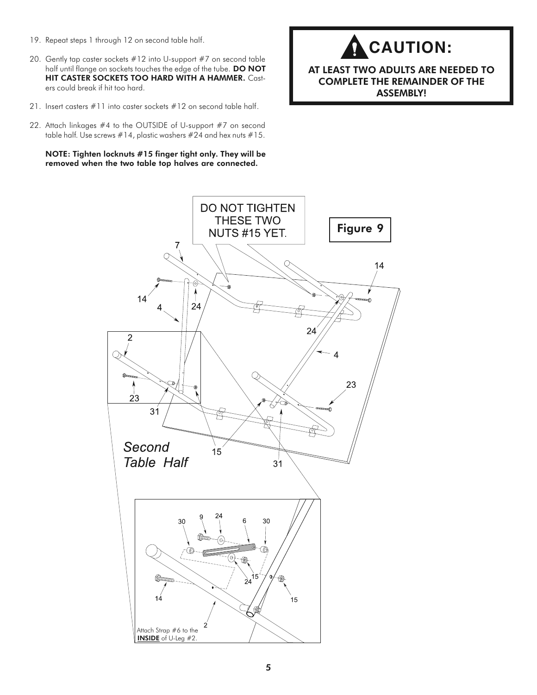- 19. Repeat steps 1 through 12 on second table half.
- 20. Gently tap caster sockets #12 into U-support #7 on second table half until flange on sockets touches the edge of the tube. DO NOT HIT CASTER SOCKETS TOO HARD WITH A HAMMER. Casters could break if hit too hard.
- 21. Insert casters  $#11$  into caster sockets  $#12$  on second table half.
- 22. Attach linkages #4 to the OUTSIDE of U-support #7 on second table half. Use screws #14, plastic washers #24 and hex nuts #15.

NOTE: Tighten locknuts #15 finger tight only. They will be removed when the two table top halves are connected.



#### AT LEAST TWO ADULTS ARE NEEDED TO COMPLETE THE REMAINDER OF THE ASSEMBLY!

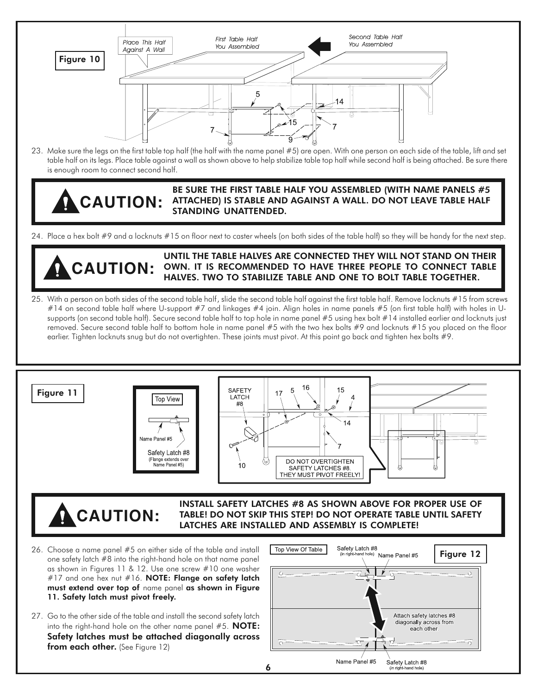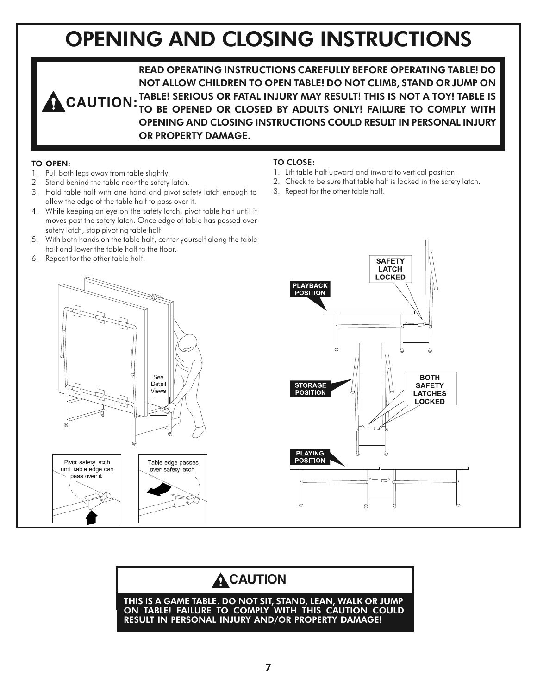# OPENING AND CLOSING INSTRUCTIONS

READ OPERATING INSTRUCTIONS CAREFULLY BEFORE OPERATING TABLE! DO NOT ALLOW CHILDREN TO OPEN TABLE! DO NOT CLIMB, STAND OR JUMP ON **CAUTION:** TABLE! SERIOUS OR FATAL INJURY MAY RESULT! THIS IS NOT A TOY! TABLE IS<br>CAUTION: <sub>TO</sub> RE OPENED OR CLOSED BY ADULTS ONLY! FAILURE TO COMPLY WITH TO BE OPENED OR CLOSED BY ADULTS ONLY! FAILURE TO COMPLY WITH OPENING AND CLOSING INSTRUCTIONS COULD RESULT IN PERSONAL INJURY OR PROPERTY DAMAGE.

#### TO OPEN:

- 1. Pull both legs away from table slightly.
- 2. Stand behind the table near the safety latch.
- 3. Hold table half with one hand and pivot safety latch enough to allow the edge of the table half to pass over it.
- 4. While keeping an eye on the safety latch, pivot table half until it moves past the safety latch. Once edge of table has passed over safety latch, stop pivoting table half.
- 5. With both hands on the table half, center yourself along the table half and lower the table half to the floor.
- 6. Repeat for the other table half.

#### TO CLOSE:

- 1. Lift table half upward and inward to vertical position.
- 2. Check to be sure that table half is locked in the safety latch.
- 3. Repeat for the other table half.





## **A**CAUTION

THIS IS A GAME TABLE. DO NOT SIT, STAND, LEAN, WALK OR JUMP ON TABLE! FAILURE TO COMPLY WITH THIS CAUTION COULD RESULT IN PERSONAL INJURY AND/OR PROPERTY DAMAGE!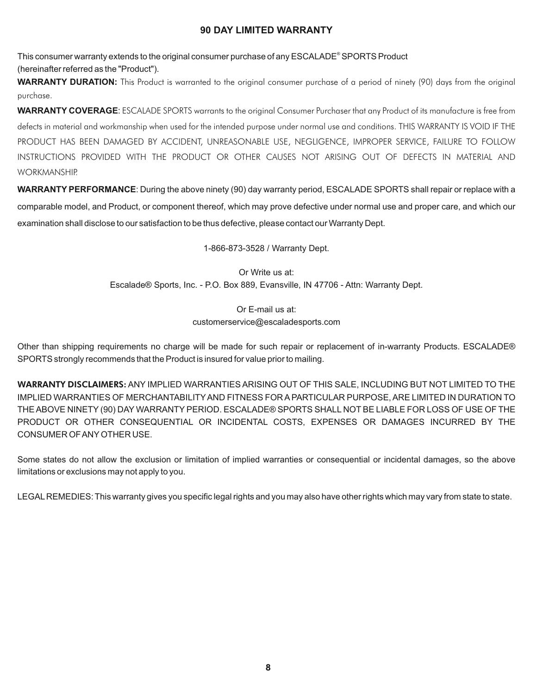#### **90 DAY LIMITED WARRANTY**

This consumer warranty extends to the original consumer purchase of any ESCALADE® SPORTS Product

(hereinafter referred as the "Product").

**WARRANTY DURATION:** This Product is warranted to the original consumer purchase of a period of ninety (90) days from the original purchase.

**WARRANTY COVERAGE**: ESCALADE SPORTS warrants to the original Consumer Purchaser that any Product of its manufacture is free from defects in material and workmanship when used for the intended purpose under normal use and conditions. THIS WARRANTY IS VOID IF THE PRODUCT HAS BEEN DAMAGED BY ACCIDENT, UNREASONABLE USE, NEGLIGENCE, IMPROPER SERVICE, FAILURE TO FOLLOW INSTRUCTIONS PROVIDED WITH THE PRODUCT OR OTHER CAUSES NOT ARISING OUT OF DEFECTS IN MATERIAL AND WORKMANSHIP.

**WARRANTY PERFORMANCE**: During the above ninety (90) day warranty period, ESCALADE SPORTS shall repair or replace with a comparable model, and Product, or component thereof, which may prove defective under normal use and proper care, and which our examination shall disclose to our satisfaction to be thus defective, please contact our Warranty Dept.

1-866-873-3528 / Warranty Dept.

Or Write us at: Escalade® Sports, Inc. - P.O. Box 889, Evansville, IN 47706 - Attn: Warranty Dept.

> Or E-mail us at: customerservice@escaladesports.com

Other than shipping requirements no charge will be made for such repair or replacement of in-warranty Products. ESCALADE® SPORTS strongly recommends that the Product is insured for value prior to mailing.

WARRANTY DISCLAIMERS: ANY IMPLIED WARRANTIES ARISING OUT OF THIS SALE, INCLUDING BUT NOT LIMITED TO THE IMPLIED WARRANTIES OF MERCHANTABILITY AND FITNESS FOR A PARTICULAR PURPOSE, ARE LIMITED IN DURATION TO THE ABOVE NINETY (90) DAY WARRANTY PERIOD. ESCALADE® SPORTS SHALL NOT BE LIABLE FOR LOSS OF USE OF THE PRODUCT OR OTHER CONSEQUENTIAL OR INCIDENTAL COSTS, EXPENSES OR DAMAGES INCURRED BY THE CONSUMER OF ANY OTHER USE.

Some states do not allow the exclusion or limitation of implied warranties or consequential or incidental damages, so the above limitations or exclusions may not apply to you.

LEGAL REMEDIES: This warranty gives you specific legal rights and you may also have other rights which may vary from state to state.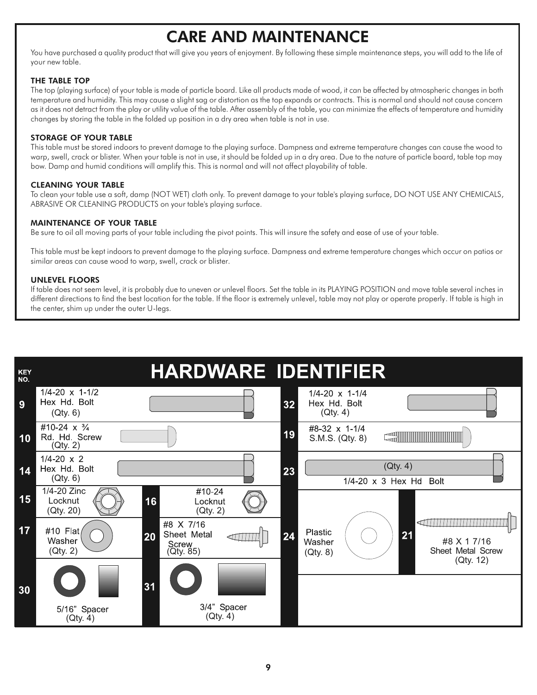## CARE AND MAINTENANCE

You have purchased a quality product that will give you years of enjoyment. By following these simple maintenance steps, you will add to the life of your new table.

#### THE TABLE TOP

The top (playing surface) of your table is made of particle board. Like all products made of wood, it can be affected by atmospheric changes in both temperature and humidity. This may cause a slight sag or distortion as the top expands or contracts. This is normal and should not cause concern as it does not detract from the play or utility value of the table. After assembly of the table, you can minimize the effects of temperature and humidity changes by storing the table in the folded up position in a dry area when table is not in use.

#### STORAGE OF YOUR TABLE

This table must be stored indoors to prevent damage to the playing surface. Dampness and extreme temperature changes can cause the wood to warp, swell, crack or blister. When your table is not in use, it should be folded up in a dry area. Due to the nature of particle board, table top may bow. Damp and humid conditions will amplify this. This is normal and will not affect playability of table.

#### CLEANING YOUR TABLE

To clean your table use a soft, damp (NOT WET) cloth only. To prevent damage to your table's playing surface, DO NOT USE ANY CHEMICALS, ABRASIVE OR CLEANING PRODUCTS on your table's playing surface.

#### MAINTENANCE OF YOUR TABLE

Be sure to oil all moving parts of your table including the pivot points. This will insure the safety and ease of use of your table.

This table must be kept indoors to prevent damage to the playing surface. Dampness and extreme temperature changes which occur on patios or similar areas can cause wood to warp, swell, crack or blister.

#### UNLEVEL FLOORS

If table does not seem level, it is probably due to uneven or unlevel floors. Set the table in its PLAYING POSITION and move table several inches in different directions to find the best location for the table. If the floor is extremely unlevel, table may not play or operate properly. If table is high in the center, shim up under the outer U-legs.